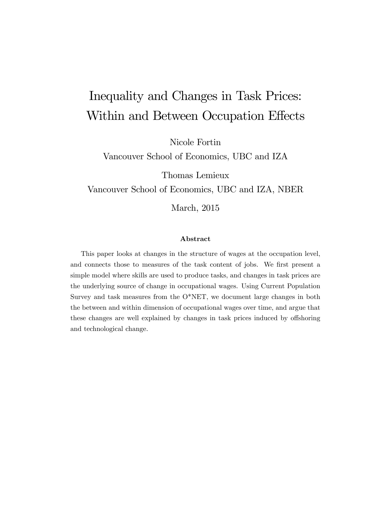# Inequality and Changes in Task Prices: Within and Between Occupation Effects

Nicole Fortin

Vancouver School of Economics, UBC and IZA

Thomas Lemieux

Vancouver School of Economics, UBC and IZA, NBER

March, 2015

#### Abstract

This paper looks at changes in the structure of wages at the occupation level, and connects those to measures of the task content of jobs. We first present a simple model where skills are used to produce tasks, and changes in task prices are the underlying source of change in occupational wages. Using Current Population Survey and task measures from the O\*NET, we document large changes in both the between and within dimension of occupational wages over time, and argue that these changes are well explained by changes in task prices induced by offshoring and technological change.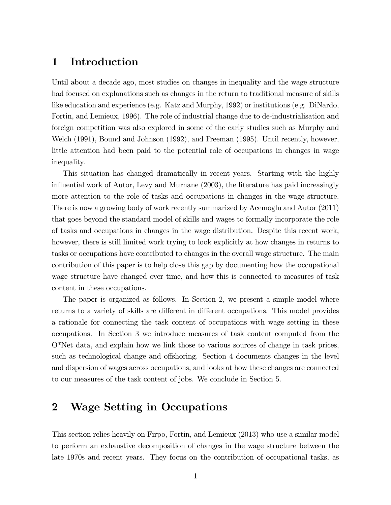### 1 Introduction

Until about a decade ago, most studies on changes in inequality and the wage structure had focused on explanations such as changes in the return to traditional measure of skills like education and experience (e.g. Katz and Murphy, 1992) or institutions (e.g. DiNardo, Fortin, and Lemieux, 1996). The role of industrial change due to de-industrialisation and foreign competition was also explored in some of the early studies such as Murphy and Welch (1991), Bound and Johnson (1992), and Freeman (1995). Until recently, however, little attention had been paid to the potential role of occupations in changes in wage inequality.

This situation has changed dramatically in recent years. Starting with the highly influential work of Autor, Levy and Murnane (2003), the literature has paid increasingly more attention to the role of tasks and occupations in changes in the wage structure. There is now a growing body of work recently summarized by Acemoglu and Autor (2011) that goes beyond the standard model of skills and wages to formally incorporate the role of tasks and occupations in changes in the wage distribution. Despite this recent work, however, there is still limited work trying to look explicitly at how changes in returns to tasks or occupations have contributed to changes in the overall wage structure. The main contribution of this paper is to help close this gap by documenting how the occupational wage structure have changed over time, and how this is connected to measures of task content in these occupations.

The paper is organized as follows. In Section 2, we present a simple model where returns to a variety of skills are different in different occupations. This model provides a rationale for connecting the task content of occupations with wage setting in these occupations. In Section 3 we introduce measures of task content computed from the O\*Net data, and explain how we link those to various sources of change in task prices, such as technological change and offshoring. Section 4 documents changes in the level and dispersion of wages across occupations, and looks at how these changes are connected to our measures of the task content of jobs. We conclude in Section 5.

### 2 Wage Setting in Occupations

This section relies heavily on Firpo, Fortin, and Lemieux (2013) who use a similar model to perform an exhaustive decomposition of changes in the wage structure between the late 1970s and recent years. They focus on the contribution of occupational tasks, as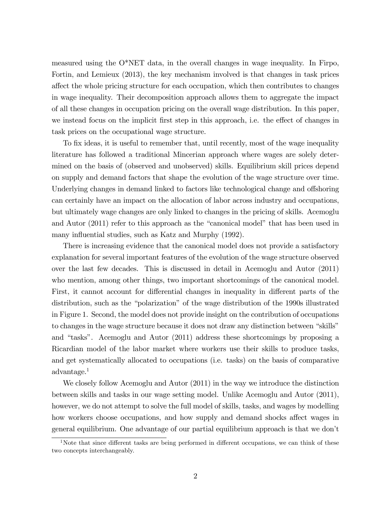measured using the O\*NET data, in the overall changes in wage inequality. In Firpo, Fortin, and Lemieux (2013), the key mechanism involved is that changes in task prices affect the whole pricing structure for each occupation, which then contributes to changes in wage inequality. Their decomposition approach allows them to aggregate the impact of all these changes in occupation pricing on the overall wage distribution. In this paper, we instead focus on the implicit first step in this approach, i.e. the effect of changes in task prices on the occupational wage structure.

To fix ideas, it is useful to remember that, until recently, most of the wage inequality literature has followed a traditional Mincerian approach where wages are solely determined on the basis of (observed and unobserved) skills. Equilibrium skill prices depend on supply and demand factors that shape the evolution of the wage structure over time. Underlying changes in demand linked to factors like technological change and offshoring can certainly have an impact on the allocation of labor across industry and occupations, but ultimately wage changes are only linked to changes in the pricing of skills. Acemoglu and Autor  $(2011)$  refer to this approach as the "canonical model" that has been used in many influential studies, such as Katz and Murphy (1992).

There is increasing evidence that the canonical model does not provide a satisfactory explanation for several important features of the evolution of the wage structure observed over the last few decades. This is discussed in detail in Acemoglu and Autor (2011) who mention, among other things, two important shortcomings of the canonical model. First, it cannot account for differential changes in inequality in different parts of the distribution, such as the "polarization" of the wage distribution of the 1990s illustrated in Figure 1. Second, the model does not provide insight on the contribution of occupations to changes in the wage structure because it does not draw any distinction between "skills" and "tasks". Acemoglu and Autor  $(2011)$  address these shortcomings by proposing a Ricardian model of the labor market where workers use their skills to produce tasks, and get systematically allocated to occupations (i.e. tasks) on the basis of comparative advantage.<sup>1</sup>

We closely follow Acemoglu and Autor (2011) in the way we introduce the distinction between skills and tasks in our wage setting model. Unlike Acemoglu and Autor (2011), however, we do not attempt to solve the full model of skills, tasks, and wages by modelling how workers choose occupations, and how supply and demand shocks affect wages in general equilibrium. One advantage of our partial equilibrium approach is that we donít

<sup>&</sup>lt;sup>1</sup>Note that since different tasks are being performed in different occupations, we can think of these two concepts interchangeably.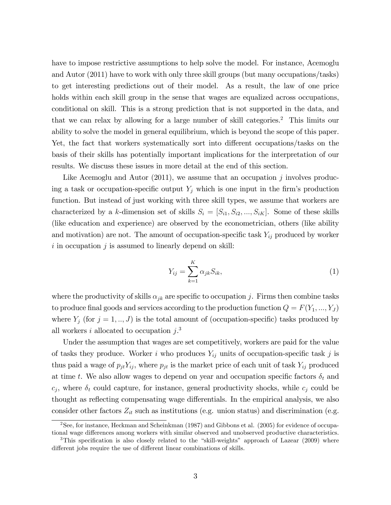have to impose restrictive assumptions to help solve the model. For instance, Acemoglu and Autor (2011) have to work with only three skill groups (but many occupations/tasks) to get interesting predictions out of their model. As a result, the law of one price holds within each skill group in the sense that wages are equalized across occupations, conditional on skill. This is a strong prediction that is not supported in the data, and that we can relax by allowing for a large number of skill categories.<sup>2</sup> This limits our ability to solve the model in general equilibrium, which is beyond the scope of this paper. Yet, the fact that workers systematically sort into different occupations/tasks on the basis of their skills has potentially important implications for the interpretation of our results. We discuss these issues in more detail at the end of this section.

Like Acemoglu and Autor  $(2011)$ , we assume that an occupation j involves producing a task or occupation-specific output  $Y_j$  which is one input in the firm's production function. But instead of just working with three skill types, we assume that workers are characterized by a k-dimension set of skills  $S_i = [S_{i1}, S_{i2}, ..., S_{iK}]$ . Some of these skills (like education and experience) are observed by the econometrician, others (like ability and motivation) are not. The amount of occupation-specific task  $Y_{ij}$  produced by worker  $i$  in occupation  $j$  is assumed to linearly depend on skill:

$$
Y_{ij} = \sum_{k=1}^{K} \alpha_{jk} S_{ik},\tag{1}
$$

where the productivity of skills  $\alpha_{jk}$  are specific to occupation j. Firms then combine tasks to produce final goods and services according to the production function  $Q = F(Y_1, ..., Y_J)$ where  $Y_j$  (for  $j = 1, ..., J$ ) is the total amount of (occupation-specific) tasks produced by all workers i allocated to occupation  $j$ <sup>3</sup>

Under the assumption that wages are set competitively, workers are paid for the value of tasks they produce. Worker i who produces  $Y_{ij}$  units of occupation-specific task j is thus paid a wage of  $p_{jt}Y_{ij}$ , where  $p_{jt}$  is the market price of each unit of task  $Y_{ij}$  produced at time t. We also allow wages to depend on year and occupation specific factors  $\delta_t$  and  $c_j$ , where  $\delta_t$  could capture, for instance, general productivity shocks, while  $c_j$  could be thought as reflecting compensating wage differentials. In the empirical analysis, we also consider other factors  $Z_{it}$  such as institutions (e.g. union status) and discrimination (e.g.

<sup>2</sup>See, for instance, Heckman and Scheinkman (1987) and Gibbons et al. (2005) for evidence of occupational wage differences among workers with similar observed and unobserved productive characteristics.

<sup>&</sup>lt;sup>3</sup>This specification is also closely related to the "skill-weights" approach of Lazear  $(2009)$  where different jobs require the use of different linear combinations of skills.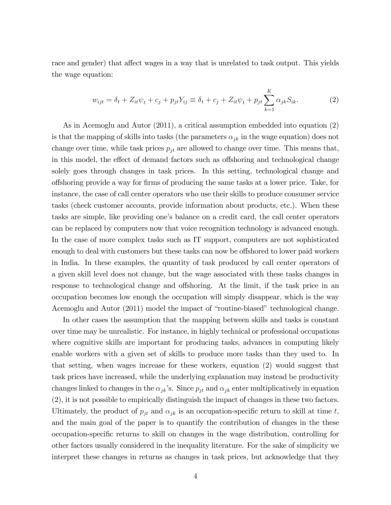race and gender) that affect wages in a way that is unrelated to task output. This yields the wage equation:

$$
w_{ijt} = \delta_t + Z_{it}\psi_t + c_j + p_{jt}Y_{ij} \equiv \delta_t + c_j + Z_{it}\psi_t + p_{jt}\sum_{k=1}^{K} \alpha_{jk}S_{ik}.
$$
 (2)

As in Acemoglu and Autor (2011), a critical assumption embedded into equation (2) is that the mapping of skills into tasks (the parameters  $\alpha_{jk}$  in the wage equation) does not change over time, while task prices  $p_{jt}$  are allowed to change over time. This means that, in this model, the effect of demand factors such as offshoring and technological change solely goes through changes in task prices. In this setting, technological change and offshoring provide a way for firms of producing the same tasks at a lower price. Take, for instance, the case of call center operators who use their skills to produce consumer service tasks (check customer accounts, provide information about products, etc.). When these tasks are simple, like providing one's balance on a credit card, the call center operators can be replaced by computers now that voice recognition technology is advanced enough. In the case of more complex tasks such as IT support, computers are not sophisticated enough to deal with customers but these tasks can now be offshored to lower paid workers in India. In these examples, the quantity of task produced by call center operators of a given skill level does not change, but the wage associated with these tasks changes in response to technological change and offshoring. At the limit, if the task price in an occupation becomes low enough the occupation will simply disappear, which is the way Acemoglu and Autor (2011) model the impact of "routine-biased" technological change.

In other cases the assumption that the mapping between skills and tasks is constant over time may be unrealistic. For instance, in highly technical or professional occupations where cognitive skills are important for producing tasks, advances in computing likely enable workers with a given set of skills to produce more tasks than they used to. In that setting, when wages increase for these workers, equation (2) would suggest that task prices have increased, while the underlying explanation may instead be productivity changes linked to changes in the  $\alpha_{jk}$ 's. Since  $p_{jt}$  and  $\alpha_{jk}$  enter multiplicatively in equation (2), it is not possible to empirically distinguish the impact of changes in these two factors. Ultimately, the product of  $p_{jt}$  and  $\alpha_{jk}$  is an occupation-specific return to skill at time t, and the main goal of the paper is to quantify the contribution of changes in the these occupation-speciÖc returns to skill on changes in the wage distribution, controlling for other factors usually considered in the inequality literature. For the sake of simplicity we interpret these changes in returns as changes in task prices, but acknowledge that they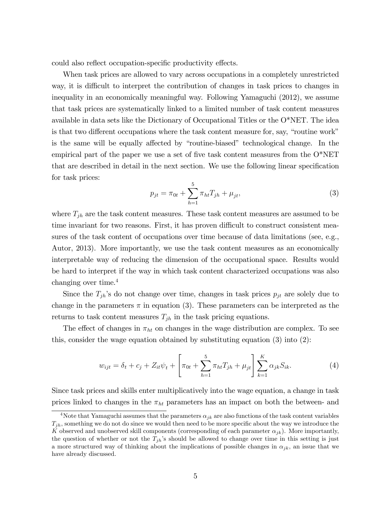could also reflect occupation-specific productivity effects.

When task prices are allowed to vary across occupations in a completely unrestricted way, it is difficult to interpret the contribution of changes in task prices to changes in inequality in an economically meaningful way. Following Yamaguchi (2012), we assume that task prices are systematically linked to a limited number of task content measures available in data sets like the Dictionary of Occupational Titles or the O\*NET. The idea is that two different occupations where the task content measure for, say, "routine work" is the same will be equally affected by "routine-biased" technological change. In the empirical part of the paper we use a set of five task content measures from the  $O^*NET$ that are described in detail in the next section. We use the following linear specification for task prices:

$$
p_{jt} = \pi_{0t} + \sum_{h=1}^{5} \pi_{ht} T_{jh} + \mu_{jt},
$$
\n(3)

where  $T_{jh}$  are the task content measures. These task content measures are assumed to be time invariant for two reasons. First, it has proven difficult to construct consistent measures of the task content of occupations over time because of data limitations (see, e.g., Autor, 2013). More importantly, we use the task content measures as an economically interpretable way of reducing the dimension of the occupational space. Results would be hard to interpret if the way in which task content characterized occupations was also changing over time.<sup>4</sup>

Since the  $T_{jh}$ 's do not change over time, changes in task prices  $p_{jt}$  are solely due to change in the parameters  $\pi$  in equation (3). These parameters can be interpreted as the returns to task content measures  $T_{jh}$  in the task pricing equations.

The effect of changes in  $\pi_{ht}$  on changes in the wage distribution are complex. To see this, consider the wage equation obtained by substituting equation (3) into (2):

$$
w_{ijt} = \delta_t + c_j + Z_{it}\psi_t + \left[\pi_{0t} + \sum_{h=1}^5 \pi_{ht}T_{jh} + \mu_{jt}\right] \sum_{k=1}^K \alpha_{jk}S_{ik}.
$$
 (4)

Since task prices and skills enter multiplicatively into the wage equation, a change in task prices linked to changes in the  $\pi_{ht}$  parameters has an impact on both the between- and

<sup>&</sup>lt;sup>4</sup>Note that Yamaguchi assumes that the parameters  $\alpha_{jk}$  are also functions of the task content variables  $T_{ih}$ , something we do not do since we would then need to be more specific about the way we introduce the K observed and unobserved skill components (corresponding of each parameter  $\alpha_{jk}$ ). More importantly, the question of whether or not the  $T_{ih}$ 's should be allowed to change over time in this setting is just a more structured way of thinking about the implications of possible changes in  $\alpha_{jk}$ , an issue that we have already discussed.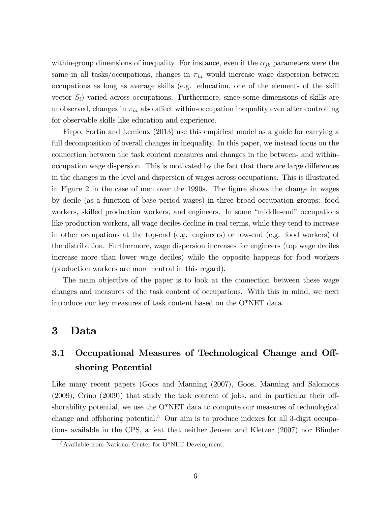within-group dimensions of inequality. For instance, even if the  $\alpha_{jk}$  parameters were the same in all tasks/occupations, changes in  $\pi_{ht}$  would increase wage dispersion between occupations as long as average skills (e.g. education, one of the elements of the skill vector  $S_i$ ) varied across occupations. Furthermore, since some dimensions of skills are unobserved, changes in  $\pi_{ht}$  also affect within-occupation inequality even after controlling for observable skills like education and experience.

Firpo, Fortin and Lemieux (2013) use this empirical model as a guide for carrying a full decomposition of overall changes in inequality. In this paper, we instead focus on the connection between the task content measures and changes in the between- and withinoccupation wage dispersion. This is motivated by the fact that there are large differences in the changes in the level and dispersion of wages across occupations. This is illustrated in Figure 2 in the case of men over the 1990s. The figure shows the change in wages by decile (as a function of base period wages) in three broad occupation groups: food workers, skilled production workers, and engineers. In some "middle-end" occupations like production workers, all wage deciles decline in real terms, while they tend to increase in other occupations at the top-end (e.g. engineers) or low-end (e.g. food workers) of the distribution. Furthermore, wage dispersion increases for engineers (top wage deciles increase more than lower wage deciles) while the opposite happens for food workers (production workers are more neutral in this regard).

The main objective of the paper is to look at the connection between these wage changes and measures of the task content of occupations. With this in mind, we next introduce our key measures of task content based on the O\*NET data.

### 3 Data

### 3.1 Occupational Measures of Technological Change and Offshoring Potential

Like many recent papers (Goos and Manning (2007), Goos, Manning and Salomons  $(2009)$ , Crino  $(2009)$ ) that study the task content of jobs, and in particular their offshorability potential, we use the  $O^*NET$  data to compute our measures of technological change and offshoring potential.<sup>5</sup> Our aim is to produce indexes for all 3-digit occupations available in the CPS, a feat that neither Jensen and Kletzer (2007) nor Blinder

 $5A$ vailable from National Center for O\*NET Development.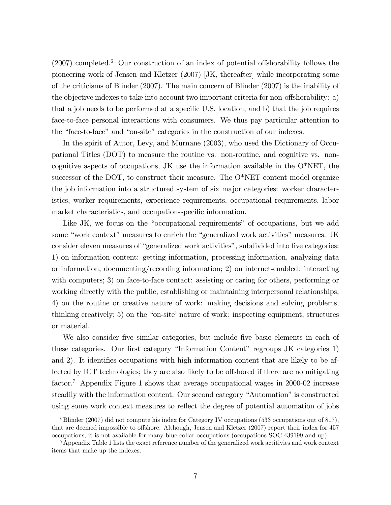$(2007)$  completed.<sup>6</sup> Our construction of an index of potential offshorability follows the pioneering work of Jensen and Kletzer (2007) [JK, thereafter] while incorporating some of the criticisms of Blinder (2007). The main concern of Blinder (2007) is the inability of the objective indexes to take into account two important criteria for non-offshorability: a) that a job needs to be performed at a specific U.S. location, and b) that the job requires face-to-face personal interactions with consumers. We thus pay particular attention to the "face-to-face" and "on-site" categories in the construction of our indexes.

In the spirit of Autor, Levy, and Murnane (2003), who used the Dictionary of Occupational Titles (DOT) to measure the routine vs. non-routine, and cognitive vs. noncognitive aspects of occupations, JK use the information available in the O\*NET, the successor of the DOT, to construct their measure. The O\*NET content model organize the job information into a structured system of six major categories: worker characteristics, worker requirements, experience requirements, occupational requirements, labor market characteristics, and occupation-specific information.

Like JK, we focus on the "occupational requirements" of occupations, but we add some "work context" measures to enrich the "generalized work activities" measures. JK consider eleven measures of "generalized work activities", subdivided into five categories: 1) on information content: getting information, processing information, analyzing data or information, documenting/recording information; 2) on internet-enabled: interacting with computers; 3) on face-to-face contact: assisting or caring for others, performing or working directly with the public, establishing or maintaining interpersonal relationships; 4) on the routine or creative nature of work: making decisions and solving problems, thinking creatively; 5) on the "on-site" nature of work: inspecting equipment, structures or material.

We also consider five similar categories, but include five basic elements in each of these categories. Our first category "Information Content" regroups JK categories 1) and 2). It identifies occupations with high information content that are likely to be affected by ICT technologies; they are also likely to be offshored if there are no mitigating factor.<sup>7</sup> Appendix Figure 1 shows that average occupational wages in 2000-02 increase steadily with the information content. Our second category "Automation" is constructed using some work context measures to reflect the degree of potential automation of jobs

 $6B$ linder (2007) did not compute his index for Category IV occupations (533 occupations out of 817), that are deemed impossible to offshore. Although, Jensen and Kletzer (2007) report their index for 457 occupations, it is not available for many blue-collar occupations (occupations SOC 439199 and up).

<sup>7</sup>Appendix Table 1 lists the exact reference number of the generalized work actitivies and work context items that make up the indexes.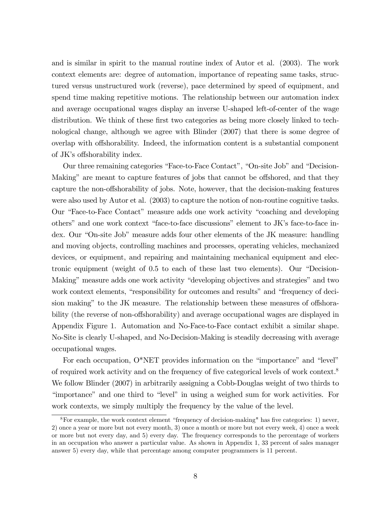and is similar in spirit to the manual routine index of Autor et al. (2003). The work context elements are: degree of automation, importance of repeating same tasks, structured versus unstructured work (reverse), pace determined by speed of equipment, and spend time making repetitive motions. The relationship between our automation index and average occupational wages display an inverse U-shaped left-of-center of the wage distribution. We think of these first two categories as being more closely linked to technological change, although we agree with Blinder (2007) that there is some degree of overlap with offshorability. Indeed, the information content is a substantial component of JK's offshorability index.

Our three remaining categories "Face-to-Face Contact", "On-site Job" and "Decision-Making" are meant to capture features of jobs that cannot be offshored, and that they capture the non-offshorability of jobs. Note, however, that the decision-making features were also used by Autor et al. (2003) to capture the notion of non-routine cognitive tasks. Our "Face-to-Face Contact" measure adds one work activity "coaching and developing others" and one work context "face-to-face discussions" element to JK's face-to-face index. Our "On-site Job" measure adds four other elements of the JK measure: handling and moving objects, controlling machines and processes, operating vehicles, mechanized devices, or equipment, and repairing and maintaining mechanical equipment and electronic equipment (weight of  $0.5$  to each of these last two elements). Our "Decision-Making" measure adds one work activity "developing objectives and strategies" and two work context elements, "responsibility for outcomes and results" and "frequency of decision making" to the JK measure. The relationship between these measures of offshorability (the reverse of non-offshorability) and average occupational wages are displayed in Appendix Figure 1. Automation and No-Face-to-Face contact exhibit a similar shape. No-Site is clearly U-shaped, and No-Decision-Making is steadily decreasing with average occupational wages.

For each occupation,  $O^*NET$  provides information on the "importance" and "level" of required work activity and on the frequency of five categorical levels of work context.<sup>8</sup> We follow Blinder (2007) in arbitrarily assigning a Cobb-Douglas weight of two thirds to "importance" and one third to "level" in using a weighed sum for work activities. For work contexts, we simply multiply the frequency by the value of the level.

 ${}^{8}$ For example, the work context element "frequency of decision-making" has five categories: 1) never, 2) once a year or more but not every month, 3) once a month or more but not every week, 4) once a week or more but not every day, and 5) every day. The frequency corresponds to the percentage of workers in an occupation who answer a particular value. As shown in Appendix 1, 33 percent of sales manager answer 5) every day, while that percentage among computer programmers is 11 percent.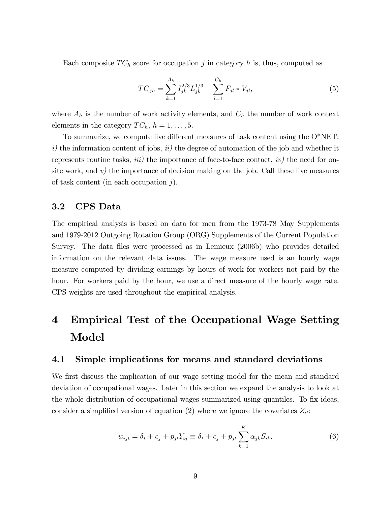Each composite  $TC_h$  score for occupation j in category h is, thus, computed as

$$
TC_{jh} = \sum_{k=1}^{A_h} I_{jk}^{2/3} L_{jk}^{1/3} + \sum_{l=1}^{C_h} F_{jl} * V_{jl},
$$
\n(5)

where  $A_h$  is the number of work activity elements, and  $C_h$  the number of work context elements in the category  $TC_h$ ,  $h = 1, \ldots, 5$ .

To summarize, we compute five different measures of task content using the  $O^*NET$ : i) the information content of jobs,  $ii)$  the degree of automation of the job and whether it represents routine tasks,  $iii)$  the importance of face-to-face contact,  $iv)$  the need for onsite work, and  $v$ ) the importance of decision making on the job. Call these five measures of task content (in each occupation  $j$ ).

#### 3.2 CPS Data

The empirical analysis is based on data for men from the 1973-78 May Supplements and 1979-2012 Outgoing Rotation Group (ORG) Supplements of the Current Population Survey. The data Öles were processed as in Lemieux (2006b) who provides detailed information on the relevant data issues. The wage measure used is an hourly wage measure computed by dividing earnings by hours of work for workers not paid by the hour. For workers paid by the hour, we use a direct measure of the hourly wage rate. CPS weights are used throughout the empirical analysis.

## 4 Empirical Test of the Occupational Wage Setting Model

#### 4.1 Simple implications for means and standard deviations

We first discuss the implication of our wage setting model for the mean and standard deviation of occupational wages. Later in this section we expand the analysis to look at the whole distribution of occupational wages summarized using quantiles. To fix ideas, consider a simplified version of equation (2) where we ignore the covariates  $Z_{it}$ :

$$
w_{ijt} = \delta_t + c_j + p_{jt} Y_{ij} \equiv \delta_t + c_j + p_{jt} \sum_{k=1}^{K} \alpha_{jk} S_{ik}.
$$
 (6)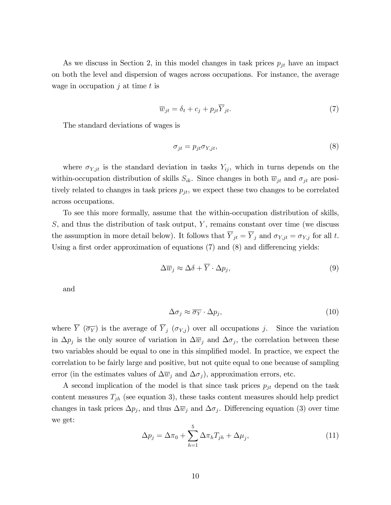As we discuss in Section 2, in this model changes in task prices  $p_{it}$  have an impact on both the level and dispersion of wages across occupations. For instance, the average wage in occupation  $j$  at time  $t$  is

$$
\overline{w}_{jt} = \delta_t + c_j + p_{jt} \overline{Y}_{jt}.
$$
\n<sup>(7)</sup>

The standard deviations of wages is

$$
\sigma_{jt} = p_{jt} \sigma_{Y,jt},\tag{8}
$$

where  $\sigma_{Y,jt}$  is the standard deviation in tasks  $Y_{ij}$ , which in turns depends on the within-occupation distribution of skills  $S_{ik}$ . Since changes in both  $\overline{w}_{jt}$  and  $\sigma_{jt}$  are positively related to changes in task prices  $p_{jt}$ , we expect these two changes to be correlated across occupations.

To see this more formally, assume that the within-occupation distribution of skills,  $S$ , and thus the distribution of task output, Y, remains constant over time (we discuss the assumption in more detail below). It follows that  $\overline{Y}_{jt} = \overline{Y}_j$  and  $\sigma_{Y,jt} = \sigma_{Y,j}$  for all t. Using a first order approximation of equations  $(7)$  and  $(8)$  and differencing yields:

$$
\Delta \overline{w}_j \approx \Delta \delta + \overline{Y} \cdot \Delta p_j,\tag{9}
$$

and

$$
\Delta \sigma_j \approx \overline{\sigma_Y} \cdot \Delta p_j,\tag{10}
$$

where  $\overline{Y}$  ( $\overline{\sigma_Y}$ ) is the average of  $\overline{Y}_j$  ( $\sigma_{Y,j}$ ) over all occupations j. Since the variation in  $\Delta p_j$  is the only source of variation in  $\Delta \overline{w}_j$  and  $\Delta \sigma_j$ , the correlation between these two variables should be equal to one in this simplified model. In practice, we expect the correlation to be fairly large and positive, but not quite equal to one because of sampling error (in the estimates values of  $\Delta \overline{w}_j$  and  $\Delta \sigma_j$ ), approximation errors, etc.

A second implication of the model is that since task prices  $p_{jt}$  depend on the task content measures  $T_{jh}$  (see equation 3), these tasks content measures should help predict changes in task prices  $\Delta p_j$ , and thus  $\Delta \overline{w}_j$  and  $\Delta \sigma_j$ . Differencing equation (3) over time we get:

$$
\Delta p_j = \Delta \pi_0 + \sum_{h=1}^5 \Delta \pi_h T_{jh} + \Delta \mu_j,\tag{11}
$$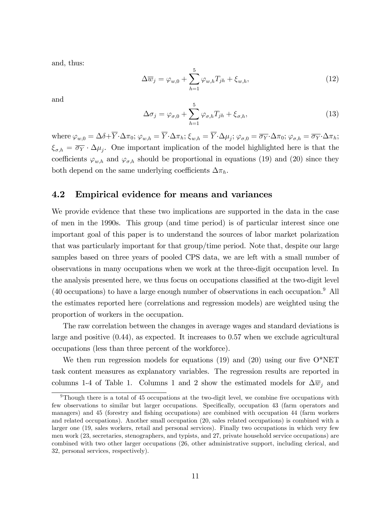and, thus:

$$
\Delta \overline{w}_j = \varphi_{w,0} + \sum_{h=1}^5 \varphi_{w,h} T_{jh} + \xi_{w,h},\tag{12}
$$

and

$$
\Delta \sigma_j = \varphi_{\sigma,0} + \sum_{h=1}^5 \varphi_{\sigma,h} T_{jh} + \xi_{\sigma,h},\tag{13}
$$

where  $\varphi_{w,0} = \Delta \delta + Y \cdot \Delta \pi_0$ ;  $\varphi_{w,h} = Y \cdot \Delta \pi_h$ ;  $\xi_{w,h} = Y \cdot \Delta \mu_j$ ;  $\varphi_{\sigma,0} = \overline{\sigma_Y} \cdot \Delta \pi_0$ ;  $\varphi_{\sigma,h} = \overline{\sigma_Y} \cdot \Delta \pi_h$ ;  $\xi_{\sigma,h} = \overline{\sigma_Y} \cdot \Delta \mu_j$ . One important implication of the model highlighted here is that the coefficients  $\varphi_{w,h}$  and  $\varphi_{\sigma,h}$  should be proportional in equations (19) and (20) since they both depend on the same underlying coefficients  $\Delta \pi_h$ .

#### 4.2 Empirical evidence for means and variances

We provide evidence that these two implications are supported in the data in the case of men in the 1990s. This group (and time period) is of particular interest since one important goal of this paper is to understand the sources of labor market polarization that was particularly important for that group/time period. Note that, despite our large samples based on three years of pooled CPS data, we are left with a small number of observations in many occupations when we work at the three-digit occupation level. In the analysis presented here, we thus focus on occupations classified at the two-digit level  $(40 \text{ occurrences})$  to have a large enough number of observations in each occupation.<sup>9</sup> All the estimates reported here (correlations and regression models) are weighted using the proportion of workers in the occupation.

The raw correlation between the changes in average wages and standard deviations is large and positive (0.44), as expected. It increases to 0.57 when we exclude agricultural occupations (less than three percent of the workforce).

We then run regression models for equations (19) and (20) using our five  $O^*NET$ task content measures as explanatory variables. The regression results are reported in columns 1-4 of Table 1. Columns 1 and 2 show the estimated models for  $\Delta \overline{w}_i$  and

 $9$ Though there is a total of 45 occupations at the two-digit level, we combine five occupations with few observations to similar but larger occupations. Specifically, occupation 43 (farm operators and managers) and 45 (forestry and fishing occupations) are combined with occupation 44 (farm workers and related occupations). Another small occupation (20, sales related occupations) is combined with a larger one (19, sales workers, retail and personal services). Finally two occupations in which very few men work (23, secretaries, stenographers, and typists, and 27, private household service occupations) are combined with two other larger occupations (26, other administrative support, including clerical, and 32, personal services, respectively).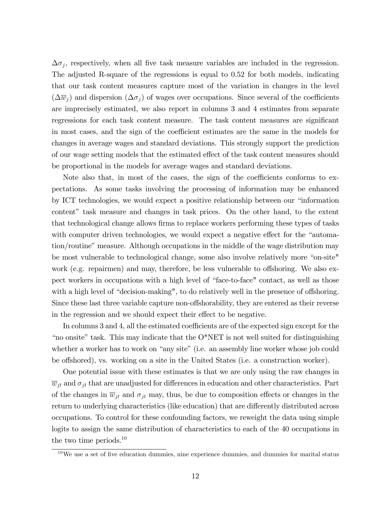$\Delta\sigma_j$ , respectively, when all five task measure variables are included in the regression. The adjusted R-square of the regressions is equal to 0.52 for both models, indicating that our task content measures capture most of the variation in changes in the level  $(\Delta \overline{w}_j)$  and dispersion  $(\Delta \sigma_j)$  of wages over occupations. Since several of the coefficients are imprecisely estimated, we also report in columns 3 and 4 estimates from separate regressions for each task content measure. The task content measures are significant in most cases, and the sign of the coefficient estimates are the same in the models for changes in average wages and standard deviations. This strongly support the prediction of our wage setting models that the estimated effect of the task content measures should be proportional in the models for average wages and standard deviations.

Note also that, in most of the cases, the sign of the coefficients conforms to expectations. As some tasks involving the processing of information may be enhanced by ICT technologies, we would expect a positive relationship between our "information" content" task measure and changes in task prices. On the other hand, to the extent that technological change allows firms to replace workers performing these types of tasks with computer driven technologies, we would expect a negative effect for the "automation/routine" measure. Although occupations in the middle of the wage distribution may be most vulnerable to technological change, some also involve relatively more "on-site" work (e.g. repairmen) and may, therefore, be less vulnerable to offshoring. We also expect workers in occupations with a high level of "face-to-face" contact, as well as those with a high level of "decision-making", to do relatively well in the presence of offshoring. Since these last three variable capture non-offshorability, they are entered as their reverse in the regression and we should expect their effect to be negative.

In columns 3 and 4, all the estimated coefficients are of the expected sign except for the "no onsite" task. This may indicate that the O\*NET is not well suited for distinguishing whether a worker has to work on "any site" (i.e. an assembly line worker whose job could be offshored), vs. working on a site in the United States (i.e. a construction worker).

One potential issue with these estimates is that we are only using the raw changes in  $\overline{w}_{jt}$  and  $\sigma_{jt}$  that are unadjusted for differences in education and other characteristics. Part of the changes in  $\overline{w}_{jt}$  and  $\sigma_{jt}$  may, thus, be due to composition effects or changes in the return to underlying characteristics (like education) that are differently distributed across occupations. To control for these confounding factors, we reweight the data using simple logits to assign the same distribution of characteristics to each of the 40 occupations in the two time periods.<sup>10</sup>

 $10\,\text{We}$  use a set of five education dummies, nine experience dummies, and dummies for marital status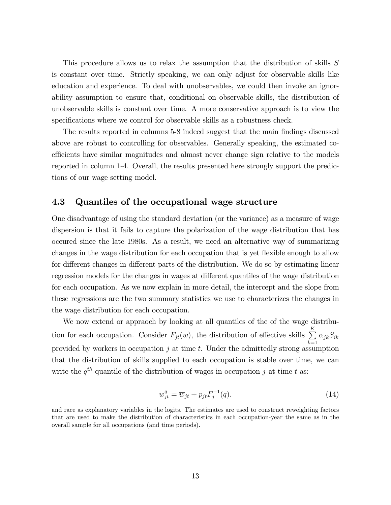This procedure allows us to relax the assumption that the distribution of skills S is constant over time. Strictly speaking, we can only adjust for observable skills like education and experience. To deal with unobservables, we could then invoke an ignorability assumption to ensure that, conditional on observable skills, the distribution of unobservable skills is constant over time. A more conservative approach is to view the specifications where we control for observable skills as a robustness check.

The results reported in columns 5-8 indeed suggest that the main findings discussed above are robust to controlling for observables. Generally speaking, the estimated coefficients have similar magnitudes and almost never change sign relative to the models reported in column 1-4. Overall, the results presented here strongly support the predictions of our wage setting model.

#### 4.3 Quantiles of the occupational wage structure

One disadvantage of using the standard deviation (or the variance) as a measure of wage dispersion is that it fails to capture the polarization of the wage distribution that has occured since the late 1980s. As a result, we need an alternative way of summarizing changes in the wage distribution for each occupation that is yet flexible enough to allow for different changes in different parts of the distribution. We do so by estimating linear regression models for the changes in wages at different quantiles of the wage distribution for each occupation. As we now explain in more detail, the intercept and the slope from these regressions are the two summary statistics we use to characterizes the changes in the wage distribution for each occupation.

We now extend or appraoch by looking at all quantiles of the of the wage distribution for each occupation. Consider  $F_{jt}(w)$ , the distribution of effective skills  $\sum_{k=1}^{K}$  $k=1$  $\alpha_{jk}S_{ik}$ provided by workers in occupation  $j$  at time t. Under the admittedly strong assumption that the distribution of skills supplied to each occupation is stable over time, we can write the  $q^{th}$  quantile of the distribution of wages in occupation j at time t as:

$$
w_{jt}^q = \overline{w}_{jt} + p_{jt} F_j^{-1}(q). \tag{14}
$$

and race as explanatory variables in the logits. The estimates are used to construct reweighting factors that are used to make the distribution of characteristics in each occupation-year the same as in the overall sample for all occupations (and time periods).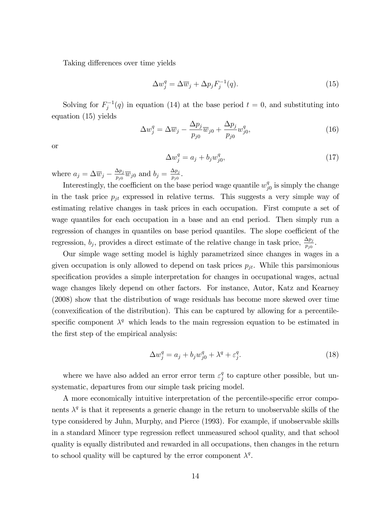Taking differences over time yields

$$
\Delta w_j^q = \Delta \overline{w}_j + \Delta p_j F_j^{-1}(q). \tag{15}
$$

Solving for  $F_j^{-1}(q)$  in equation (14) at the base period  $t = 0$ , and substituting into equation (15) yields

$$
\Delta w_j^q = \Delta \overline{w}_j - \frac{\Delta p_j}{p_{j0}} \overline{w}_{j0} + \frac{\Delta p_j}{p_{j0}} w_{j0}^q,
$$
\n(16)

or

$$
\Delta w_j^q = a_j + b_j w_{j0}^q,\tag{17}
$$

where  $a_j = \Delta \overline{w}_j - \frac{\Delta p_j}{p_{j0}}$  $\frac{\Delta p_j}{p_{j0}} \overline{w}_{j0}$  and  $b_j = \frac{\Delta p_j}{p_{j0}}$  $\frac{\Delta p_j}{p_{j0}}.$ 

Interestingly, the coefficient on the base period wage quantile  $w_j^q$  $_{j0}^{q}$  is simply the change in the task price  $p_{jt}$  expressed in relative terms. This suggests a very simple way of estimating relative changes in task prices in each occupation. First compute a set of wage quantiles for each occupation in a base and an end period. Then simply run a regression of changes in quantiles on base period quantiles. The slope coefficient of the regression,  $b_j$ , provides a direct estimate of the relative change in task price,  $\frac{\Delta p_j}{p_{j0}}$ .

Our simple wage setting model is highly parametrized since changes in wages in a given occupation is only allowed to depend on task prices  $p_{jt}$ . While this parsimonious specification provides a simple interpretation for changes in occupational wages, actual wage changes likely depend on other factors. For instance, Autor, Katz and Kearney (2008) show that the distribution of wage residuals has become more skewed over time (convexification of the distribution). This can be captured by allowing for a percentilespecific component  $\lambda^q$  which leads to the main regression equation to be estimated in the first step of the empirical analysis:

$$
\Delta w_j^q = a_j + b_j w_{j0}^q + \lambda^q + \varepsilon_j^q. \tag{18}
$$

where we have also added an error error term  $\varepsilon_i^q$  $_j^q$  to capture other possible, but unsystematic, departures from our simple task pricing model.

A more economically intuitive interpretation of the percentile-specific error components  $\lambda^q$  is that it represents a generic change in the return to unobservable skills of the type considered by Juhn, Murphy, and Pierce (1993). For example, if unobservable skills in a standard Mincer type regression reflect unmeasured school quality, and that school quality is equally distributed and rewarded in all occupations, then changes in the return to school quality will be captured by the error component  $\lambda^q$ .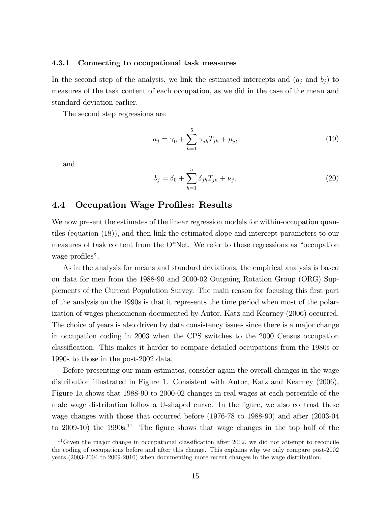#### 4.3.1 Connecting to occupational task measures

In the second step of the analysis, we link the estimated intercepts and  $(a_j \text{ and } b_j)$  to measures of the task content of each occupation, as we did in the case of the mean and standard deviation earlier.

The second step regressions are

$$
a_j = \gamma_0 + \sum_{h=1}^{5} \gamma_{jh} T_{jh} + \mu_j,
$$
\n(19)

and

$$
b_j = \delta_0 + \sum_{h=1}^{5} \delta_{jh} T_{jh} + \nu_j.
$$
 (20)

#### 4.4 Occupation Wage Profiles: Results

We now present the estimates of the linear regression models for within-occupation quantiles (equation (18)), and then link the estimated slope and intercept parameters to our measures of task content from the  $O^*$ Net. We refer to these regressions as "occupation wage profiles".

As in the analysis for means and standard deviations, the empirical analysis is based on data for men from the 1988-90 and 2000-02 Outgoing Rotation Group (ORG) Supplements of the Current Population Survey. The main reason for focusing this Örst part of the analysis on the 1990s is that it represents the time period when most of the polarization of wages phenomenon documented by Autor, Katz and Kearney (2006) occurred. The choice of years is also driven by data consistency issues since there is a major change in occupation coding in 2003 when the CPS switches to the 2000 Census occupation classiÖcation. This makes it harder to compare detailed occupations from the 1980s or 1990s to those in the post-2002 data.

Before presenting our main estimates, consider again the overall changes in the wage distribution illustrated in Figure 1. Consistent with Autor, Katz and Kearney (2006), Figure 1a shows that 1988-90 to 2000-02 changes in real wages at each percentile of the male wage distribution follow a U-shaped curve. In the figure, we also contrast these wage changes with those that occurred before (1976-78 to 1988-90) and after (2003-04 to 2009-10) the  $1990s^{11}$ . The figure shows that wage changes in the top half of the

 $11$  Given the major change in occupational classification after 2002, we did not attempt to reconcile the coding of occupations before and after this change. This explains why we only compare post-2002 years (2003-2004 to 2009-2010) when documenting more recent changes in the wage distribution.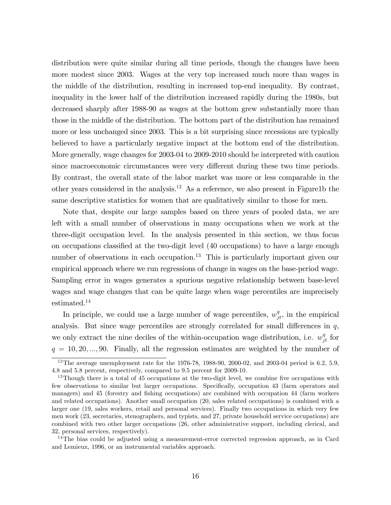distribution were quite similar during all time periods, though the changes have been more modest since 2003. Wages at the very top increased much more than wages in the middle of the distribution, resulting in increased top-end inequality. By contrast, inequality in the lower half of the distribution increased rapidly during the 1980s, but decreased sharply after 1988-90 as wages at the bottom grew substantially more than those in the middle of the distribution. The bottom part of the distribution has remained more or less unchanged since 2003. This is a bit surprising since recessions are typically believed to have a particularly negative impact at the bottom end of the distribution. More generally, wage changes for 2003-04 to 2009-2010 should be interpreted with caution since macroeconomic circumstances were very different during these two time periods. By contrast, the overall state of the labor market was more or less comparable in the other years considered in the analysis.<sup>12</sup> As a reference, we also present in Figure1b the same descriptive statistics for women that are qualitatively similar to those for men.

Note that, despite our large samples based on three years of pooled data, we are left with a small number of observations in many occupations when we work at the three-digit occupation level. In the analysis presented in this section, we thus focus on occupations classified at the two-digit level  $(40 \text{ octon})$  to have a large enough number of observations in each occupation.<sup>13</sup> This is particularly important given our empirical approach where we run regressions of change in wages on the base-period wage. Sampling error in wages generates a spurious negative relationship between base-level wages and wage changes that can be quite large when wage percentiles are imprecisely estimated.<sup>14</sup>

In principle, we could use a large number of wage percentiles,  $w_{jt}^q$ , in the empirical analysis. But since wage percentiles are strongly correlated for small differences in  $q$ , we only extract the nine deciles of the within-occupation wage distribution, i.e.  $w_{jt}^q$  for  $q = 10, 20, \ldots, 90$ . Finally, all the regression estimates are weighted by the number of

<sup>14</sup>The bias could be adjusted using a measurement-error corrected regression approach, as in Card and Lemieux, 1996, or an instrumental variables approach.

 $12$ The average unemployment rate for the 1976-78, 1988-90, 2000-02, and 2003-04 period is 6.2, 5.9, 4.8 and 5.8 percent, respectively, compared to 9.5 percent for 2009-10.

 $13$ Though there is a total of 45 occupations at the two-digit level, we combine five occupations with few observations to similar but larger occupations. Specifically, occupation 43 (farm operators and managers) and 45 (forestry and fishing occupations) are combined with occupation 44 (farm workers and related occupations). Another small occupation (20, sales related occupations) is combined with a larger one (19, sales workers, retail and personal services). Finally two occupations in which very few men work (23, secretaries, stenographers, and typists, and 27, private household service occupations) are combined with two other larger occupations (26, other administrative support, including clerical, and 32, personal services, respectively).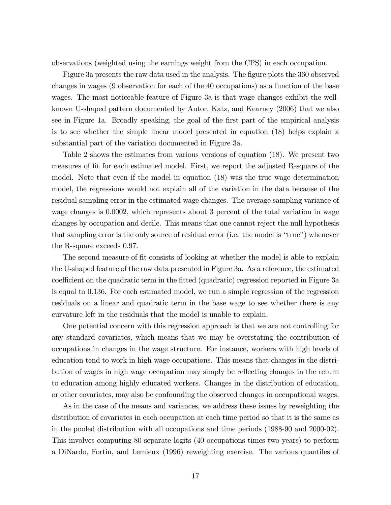observations (weighted using the earnings weight from the CPS) in each occupation.

Figure 3a presents the raw data used in the analysis. The figure plots the 360 observed changes in wages (9 observation for each of the 40 occupations) as a function of the base wages. The most noticeable feature of Figure 3a is that wage changes exhibit the wellknown U-shaped pattern documented by Autor, Katz, and Kearney (2006) that we also see in Figure 1a. Broadly speaking, the goal of the first part of the empirical analysis is to see whether the simple linear model presented in equation (18) helps explain a substantial part of the variation documented in Figure 3a.

Table 2 shows the estimates from various versions of equation (18). We present two measures of fit for each estimated model. First, we report the adjusted R-square of the model. Note that even if the model in equation (18) was the true wage determination model, the regressions would not explain all of the variation in the data because of the residual sampling error in the estimated wage changes. The average sampling variance of wage changes is 0.0002, which represents about 3 percent of the total variation in wage changes by occupation and decile. This means that one cannot reject the null hypothesis that sampling error is the only source of residual error (i.e. the model is "true") whenever the R-square exceeds 0.97.

The second measure of fit consists of looking at whether the model is able to explain the U-shaped feature of the raw data presented in Figure 3a. As a reference, the estimated coefficient on the quadratic term in the fitted (quadratic) regression reported in Figure 3a is equal to 0.136. For each estimated model, we run a simple regression of the regression residuals on a linear and quadratic term in the base wage to see whether there is any curvature left in the residuals that the model is unable to explain.

One potential concern with this regression approach is that we are not controlling for any standard covariates, which means that we may be overstating the contribution of occupations in changes in the wage structure. For instance, workers with high levels of education tend to work in high wage occupations. This means that changes in the distribution of wages in high wage occupation may simply be reflecting changes in the return to education among highly educated workers. Changes in the distribution of education, or other covariates, may also be confounding the observed changes in occupational wages.

As in the case of the means and variances, we address these issues by reweighting the distribution of covariates in each occupation at each time period so that it is the same as in the pooled distribution with all occupations and time periods (1988-90 and 2000-02). This involves computing 80 separate logits (40 occupations times two years) to perform a DiNardo, Fortin, and Lemieux (1996) reweighting exercise. The various quantiles of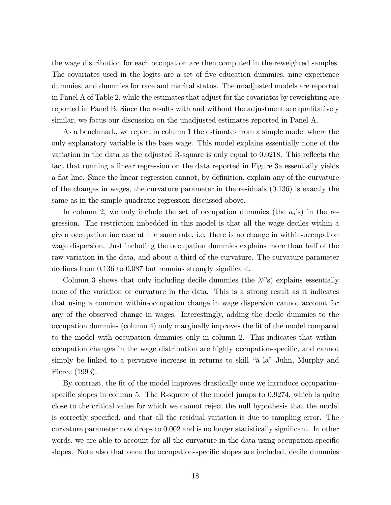the wage distribution for each occupation are then computed in the reweighted samples. The covariates used in the logits are a set of five education dummies, nine experience dummies, and dummies for race and marital status. The unadjusted models are reported in Panel A of Table 2, while the estimates that adjust for the covariates by reweighting are reported in Panel B. Since the results with and without the adjustment are qualitatively similar, we focus our discussion on the unadjusted estimates reported in Panel A.

As a benchmark, we report in column 1 the estimates from a simple model where the only explanatory variable is the base wage. This model explains essentially none of the variation in the data as the adjusted R-square is only equal to  $0.0218$ . This reflects the fact that running a linear regression on the data reported in Figure 3a essentially yields a flat line. Since the linear regression cannot, by definition, explain any of the curvature of the changes in wages, the curvature parameter in the residuals (0.136) is exactly the same as in the simple quadratic regression discussed above.

In column 2, we only include the set of occupation dummies (the  $a_j$ 's) in the regression. The restriction imbedded in this model is that all the wage deciles within a given occupation increase at the same rate, i.e. there is no change in within-occupation wage dispersion. Just including the occupation dummies explains more than half of the raw variation in the data, and about a third of the curvature. The curvature parameter declines from 0.136 to 0.087 but remains strongly significant.

Column 3 shows that only including decile dummies (the  $\lambda^{q}$ 's) explains essentially none of the variation or curvature in the data. This is a strong result as it indicates that using a common within-occupation change in wage dispersion cannot account for any of the observed change in wages. Interestingly, adding the decile dummies to the occupation dummies (column 4) only marginally improves the Öt of the model compared to the model with occupation dummies only in column 2. This indicates that withinoccupation changes in the wage distribution are highly occupation-specific, and cannot simply be linked to a pervasive increase in returns to skill "à la" Juhn, Murphy and Pierce (1993).

By contrast, the fit of the model improves drastically once we introduce occupationspecific slopes in column 5. The R-square of the model jumps to  $0.9274$ , which is quite close to the critical value for which we cannot reject the null hypothesis that the model is correctly specified, and that all the residual variation is due to sampling error. The curvature parameter now drops to 0.002 and is no longer statistically significant. In other words, we are able to account for all the curvature in the data using occupation-specific slopes. Note also that once the occupation-specific slopes are included, decile dummies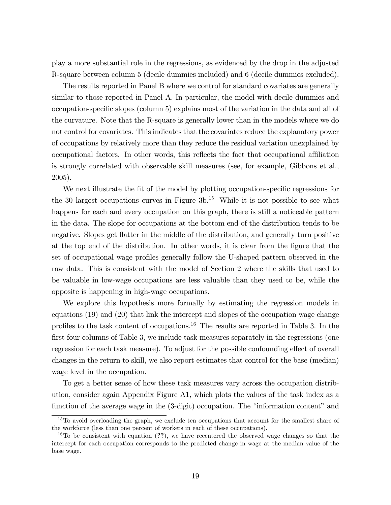play a more substantial role in the regressions, as evidenced by the drop in the adjusted R-square between column 5 (decile dummies included) and 6 (decile dummies excluded).

The results reported in Panel B where we control for standard covariates are generally similar to those reported in Panel A. In particular, the model with decile dummies and occupation-specific slopes (column 5) explains most of the variation in the data and all of the curvature. Note that the R-square is generally lower than in the models where we do not control for covariates. This indicates that the covariates reduce the explanatory power of occupations by relatively more than they reduce the residual variation unexplained by occupational factors. In other words, this reflects the fact that occupational affiliation is strongly correlated with observable skill measures (see, for example, Gibbons et al., 2005).

We next illustrate the fit of the model by plotting occupation-specific regressions for the 30 largest occupations curves in Figure  $3b$ .<sup>15</sup> While it is not possible to see what happens for each and every occupation on this graph, there is still a noticeable pattern in the data. The slope for occupations at the bottom end of the distribution tends to be negative. Slopes get flatter in the middle of the distribution, and generally turn positive at the top end of the distribution. In other words, it is clear from the figure that the set of occupational wage profiles generally follow the U-shaped pattern observed in the raw data. This is consistent with the model of Section 2 where the skills that used to be valuable in low-wage occupations are less valuable than they used to be, while the opposite is happening in high-wage occupations.

We explore this hypothesis more formally by estimating the regression models in equations (19) and (20) that link the intercept and slopes of the occupation wage change profiles to the task content of occupations.<sup>16</sup> The results are reported in Table 3. In the first four columns of Table 3, we include task measures separately in the regressions (one regression for each task measure). To adjust for the possible confounding effect of overall changes in the return to skill, we also report estimates that control for the base (median) wage level in the occupation.

To get a better sense of how these task measures vary across the occupation distribution, consider again Appendix Figure A1, which plots the values of the task index as a function of the average wage in the  $(3$ -digit) occupation. The "information content" and

<sup>&</sup>lt;sup>15</sup>To avoid overloading the graph, we exclude ten occupations that account for the smallest share of the workforce (less than one percent of workers in each of these occupations).

<sup>&</sup>lt;sup>16</sup>To be consistent with equation (??), we have recentered the observed wage changes so that the intercept for each occupation corresponds to the predicted change in wage at the median value of the base wage.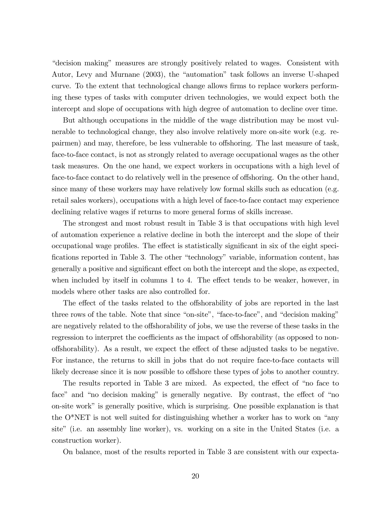"decision making" measures are strongly positively related to wages. Consistent with Autor, Levy and Murnane (2003), the "automation" task follows an inverse U-shaped curve. To the extent that technological change allows firms to replace workers performing these types of tasks with computer driven technologies, we would expect both the intercept and slope of occupations with high degree of automation to decline over time.

But although occupations in the middle of the wage distribution may be most vulnerable to technological change, they also involve relatively more on-site work (e.g. repairmen) and may, therefore, be less vulnerable to offshoring. The last measure of task, face-to-face contact, is not as strongly related to average occupational wages as the other task measures. On the one hand, we expect workers in occupations with a high level of face-to-face contact to do relatively well in the presence of offshoring. On the other hand, since many of these workers may have relatively low formal skills such as education (e.g. retail sales workers), occupations with a high level of face-to-face contact may experience declining relative wages if returns to more general forms of skills increase.

The strongest and most robust result in Table 3 is that occupations with high level of automation experience a relative decline in both the intercept and the slope of their occupational wage profiles. The effect is statistically significant in six of the eight specifications reported in Table 3. The other "technology" variable, information content, has generally a positive and significant effect on both the intercept and the slope, as expected, when included by itself in columns  $1$  to  $4$ . The effect tends to be weaker, however, in models where other tasks are also controlled for.

The effect of the tasks related to the offshorability of jobs are reported in the last three rows of the table. Note that since "on-site", "face-to-face", and "decision making" are negatively related to the offshorability of jobs, we use the reverse of these tasks in the regression to interpret the coefficients as the impact of offshorability (as opposed to nonoffshorability). As a result, we expect the effect of these adjusted tasks to be negative. For instance, the returns to skill in jobs that do not require face-to-face contacts will likely decrease since it is now possible to offshore these types of jobs to another country.

The results reported in Table 3 are mixed. As expected, the effect of "no face to face" and "no decision making" is generally negative. By contrast, the effect of "no on-site work" is generally positive, which is surprising. One possible explanation is that the  $O^*NET$  is not well suited for distinguishing whether a worker has to work on "any site" (i.e. an assembly line worker), vs. working on a site in the United States (i.e. a construction worker).

On balance, most of the results reported in Table 3 are consistent with our expecta-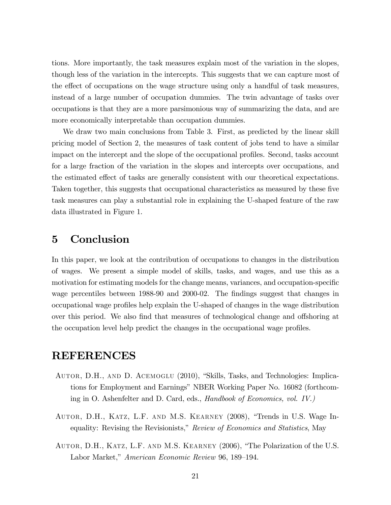tions. More importantly, the task measures explain most of the variation in the slopes, though less of the variation in the intercepts. This suggests that we can capture most of the effect of occupations on the wage structure using only a handful of task measures, instead of a large number of occupation dummies. The twin advantage of tasks over occupations is that they are a more parsimonious way of summarizing the data, and are more economically interpretable than occupation dummies.

We draw two main conclusions from Table 3. First, as predicted by the linear skill pricing model of Section 2, the measures of task content of jobs tend to have a similar impact on the intercept and the slope of the occupational profiles. Second, tasks account for a large fraction of the variation in the slopes and intercepts over occupations, and the estimated effect of tasks are generally consistent with our theoretical expectations. Taken together, this suggests that occupational characteristics as measured by these five task measures can play a substantial role in explaining the U-shaped feature of the raw data illustrated in Figure 1.

### 5 Conclusion

In this paper, we look at the contribution of occupations to changes in the distribution of wages. We present a simple model of skills, tasks, and wages, and use this as a motivation for estimating models for the change means, variances, and occupation-specific wage percentiles between 1988-90 and 2000-02. The findings suggest that changes in occupational wage proÖles help explain the U-shaped of changes in the wage distribution over this period. We also find that measures of technological change and offshoring at the occupation level help predict the changes in the occupational wage profiles.

### REFERENCES

- AUTOR, D.H., AND D. ACEMOGLU (2010), "Skills, Tasks, and Technologies: Implications for Employment and Earnings" NBER Working Paper No. 16082 (forthcoming in O. Ashenfelter and D. Card, eds., Handbook of Economics, vol. IV.)
- AUTOR, D.H., KATZ, L.F. AND M.S. KEARNEY (2008), "Trends in U.S. Wage Inequality: Revising the Revisionists," Review of Economics and Statistics, May
- AUTOR, D.H., KATZ, L.F. AND M.S. KEARNEY (2006), "The Polarization of the U.S. Labor Market," American Economic Review 96, 189–194.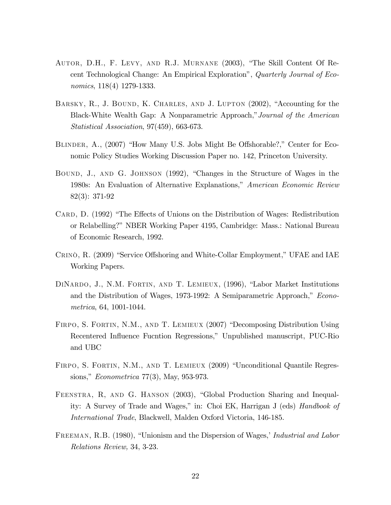- AUTOR, D.H., F. LEVY, AND R.J. MURNANE (2003), "The Skill Content Of Recent Technological Change: An Empirical Explorationî, Quarterly Journal of Economics, 118(4) 1279-1333.
- BARSKY, R., J. BOUND, K. CHARLES, AND J. LUPTON  $(2002)$ , "Accounting for the Black-White Wealth Gap: A Nonparametric Approach," Journal of the American Statistical Association, 97(459), 663-673.
- BLINDER, A., (2007) "How Many U.S. Jobs Might Be Offshorable?," Center for Economic Policy Studies Working Discussion Paper no. 142, Princeton University.
- BOUND, J., AND G. JOHNSON (1992), "Changes in the Structure of Wages in the 1980s: An Evaluation of Alternative Explanations," American Economic Review 82(3): 371-92
- CARD, D. (1992) "The Effects of Unions on the Distribution of Wages: Redistribution or Relabelling?" NBER Working Paper 4195, Cambridge: Mass.: National Bureau of Economic Research, 1992.
- CRINÒ, R. (2009) "Service Offshoring and White-Collar Employment," UFAE and IAE Working Papers.
- DINARDO, J., N.M. FORTIN, AND T. LEMIEUX, (1996), "Labor Market Institutions and the Distribution of Wages, 1973-1992: A Semiparametric Approach," Econometrica, 64, 1001-1044.
- FIRPO, S. FORTIN, N.M., AND T. LEMIEUX (2007) "Decomposing Distribution Using Recentered Influence Fucntion Regressions," Unpublished manuscript, PUC-Rio and UBC
- FIRPO, S. FORTIN, N.M., AND T. LEMIEUX (2009) "Unconditional Quantile Regressions," *Econometrica* 77(3), May, 953-973.
- FEENSTRA, R, AND G. HANSON (2003), "Global Production Sharing and Inequality: A Survey of Trade and Wages," in: Choi EK, Harrigan J (eds) Handbook of International Trade, Blackwell, Malden Oxford Victoria, 146-185.
- FREEMAN, R.B. (1980), "Unionism and the Dispersion of Wages,' Industrial and Labor Relations Review, 34, 3-23.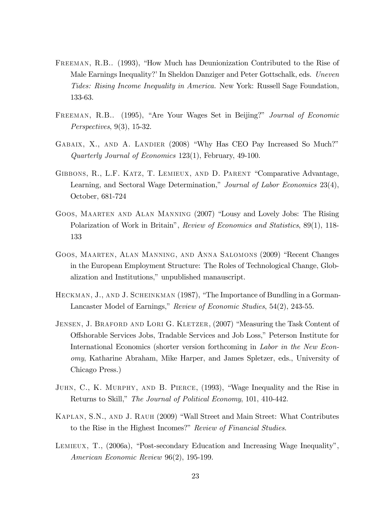- FREEMAN, R.B.. (1993), "How Much has Deunionization Contributed to the Rise of Male Earnings Inequality? In Sheldon Danziger and Peter Gottschalk, eds. Uneven Tides: Rising Income Inequality in America. New York: Russell Sage Foundation, 133-63.
- FREEMAN, R.B.. (1995), "Are Your Wages Set in Beijing?" Journal of Economic Perspectives, 9(3), 15-32.
- GABAIX, X., AND A. LANDIER (2008) "Why Has CEO Pay Increased So Much?" Quarterly Journal of Economics 123(1), February, 49-100.
- GIBBONS, R., L.F. KATZ, T. LEMIEUX, AND D. PARENT "Comparative Advantage, Learning, and Sectoral Wage Determination," Journal of Labor Economics 23(4), October, 681-724
- GOOS, MAARTEN AND ALAN MANNING (2007) "Lousy and Lovely Jobs: The Rising Polarization of Work in Britain", Review of Economics and Statistics, 89(1), 118-133
- GOOS, MAARTEN, ALAN MANNING, AND ANNA SALOMONS (2009) "Recent Changes in the European Employment Structure: The Roles of Technological Change, Globalization and Institutions," unpublished manauscript.
- HECKMAN, J., AND J. SCHEINKMAN (1987), "The Importance of Bundling in a Gorman-Lancaster Model of Earnings," Review of Economic Studies,  $54(2)$ ,  $243-55$ .
- JENSEN, J. BRAFORD AND LORI G. KLETZER, (2007) "Measuring the Task Content of Offshorable Services Jobs, Tradable Services and Job Loss," Peterson Institute for International Economics (shorter version forthcoming in Labor in the New Economy, Katharine Abraham, Mike Harper, and James Spletzer, eds., University of Chicago Press.)
- JUHN, C., K. MURPHY, AND B. PIERCE, (1993), "Wage Inequality and the Rise in Returns to Skill," The Journal of Political Economy, 101, 410-442.
- KAPLAN, S.N., AND J. RAUH (2009) "Wall Street and Main Street: What Contributes to the Rise in the Highest Incomes?" Review of Financial Studies.
- LEMIEUX, T.,  $(2006a)$ , "Post-secondary Education and Increasing Wage Inequality", American Economic Review 96(2), 195-199.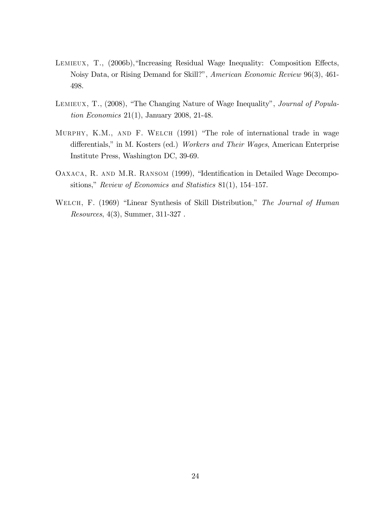- LEMIEUX, T., (2006b),"Increasing Residual Wage Inequality: Composition Effects, Noisy Data, or Rising Demand for Skill?", American Economic Review 96(3), 461-498.
- LEMIEUX, T., (2008), "The Changing Nature of Wage Inequality", Journal of Population Economics 21(1), January 2008, 21-48.
- MURPHY, K.M., AND F. WELCH (1991) "The role of international trade in wage differentials," in M. Kosters (ed.) Workers and Their Wages, American Enterprise Institute Press, Washington DC, 39-69.
- OAXACA, R. AND M.R. RANSOM (1999), "Identification in Detailed Wage Decompositions," Review of Economics and Statistics 81(1), 154–157.
- WELCH, F. (1969) "Linear Synthesis of Skill Distribution," The Journal of Human Resources, 4(3), Summer, 311-327 .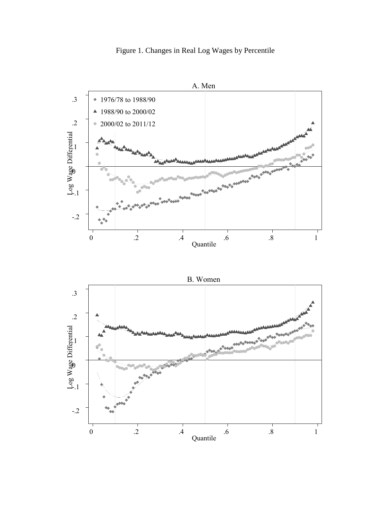



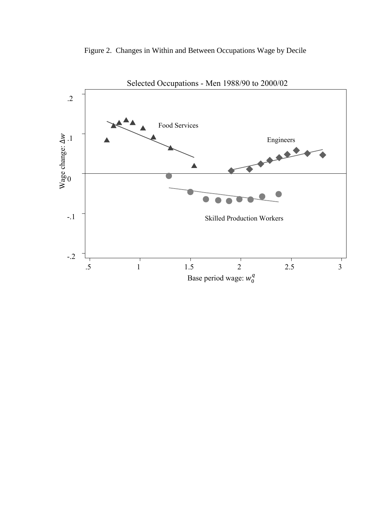

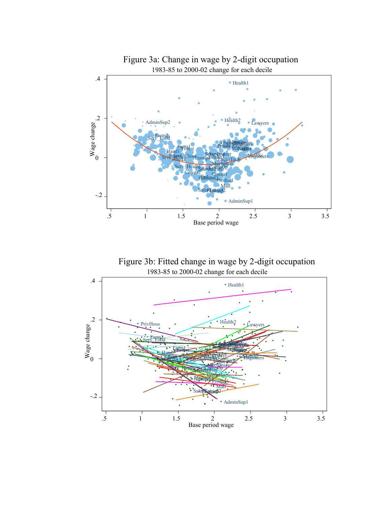

1983-85 to 2000-02 change for each decile Figure 3b: Fitted change in wage by 2-digit occupation

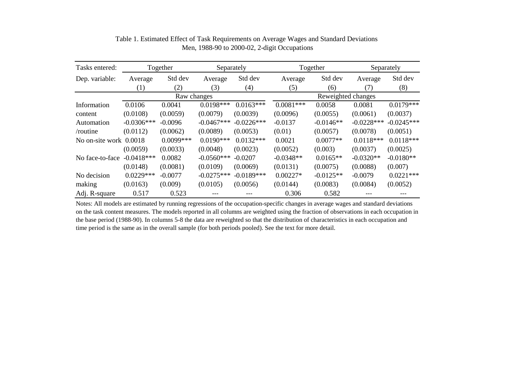| Tasks entered:         | Together         |             | Separately   |              | Together           |             | Separately   |              |  |
|------------------------|------------------|-------------|--------------|--------------|--------------------|-------------|--------------|--------------|--|
| Dep. variable:         | Average          | Std dev     | Average      | Std dev      | Average            | Std dev     | Average      | Std dev      |  |
|                        | $\left(1\right)$ | (2)         | (3)          | (4)          | (5)                | (6)         | (7)          | (8)          |  |
|                        | Raw changes      |             |              |              | Reweighted changes |             |              |              |  |
| Information            | 0.0106           | 0.0041      | $0.0198***$  | $0.0163***$  | $0.0081***$        | 0.0058      | 0.0081       | $0.0179***$  |  |
| content                | (0.0108)         | (0.0059)    | (0.0079)     | (0.0039)     | (0.0096)           | (0.0055)    | (0.0061)     | (0.0037)     |  |
| Automation             | $-0.0306***$     | $-0.0096$   | $-0.0467***$ | $-0.0226***$ | $-0.0137$          | $-0.0146**$ | $-0.0228***$ | $-0.0245***$ |  |
| $/$ routine            | (0.0112)         | (0.0062)    | (0.0089)     | (0.0053)     | (0.01)             | (0.0057)    | (0.0078)     | (0.0051)     |  |
| No on-site work 0.0018 |                  | $0.0099***$ | $0.0190***$  | $0.0132***$  | 0.0021             | $0.0077**$  | $0.0118***$  | $0.0118***$  |  |
|                        | (0.0059)         | (0.0033)    | (0.0048)     | (0.0023)     | (0.0052)           | (0.003)     | (0.0037)     | (0.0025)     |  |
| No face-to-face        | $-0.0418***$     | 0.0082      | $-0.0560***$ | $-0.0207$    | $-0.0348**$        | $0.0165**$  | $-0.0320**$  | $-0.0180**$  |  |
|                        | (0.0148)         | (0.0081)    | (0.0109)     | (0.0069)     | (0.0131)           | (0.0075)    | (0.0088)     | (0.007)      |  |
| No decision            | $0.0229***$      | $-0.0077$   | $-0.0275***$ | $-0.0189***$ | $0.00227*$         | $-0.0125**$ | $-0.0079$    | $0.0221***$  |  |
| making                 | (0.0163)         | (0.009)     | (0.0105)     | (0.0056)     | (0.0144)           | (0.0083)    | (0.0084)     | (0.0052)     |  |
| Adj. R-square          | 0.517            | 0.523       | ---          |              | 0.306              | 0.582       | ---          |              |  |

Table 1. Estimated Effect of Task Requirements on Average Wages and Standard Deviations Men, 1988-90 to 2000-02, 2-digit Occupations

Notes: All models are estimated by running regressions of the occupation-specific changes in average wages and standard deviations on the task content measures. The models reported in all columns are weighted using the fraction of observations in each occupation in the base period (1988-90). In columns 5-8 the data are reweighted so that the distribution of characteristics in each occupation and time period is the same as in the overall sample (for both periods pooled). See the text for more detail.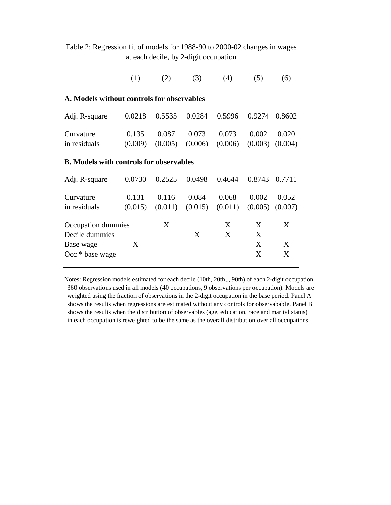|                                                                      | (1)              | (2)              | (3)              | (4)              | (5)              | (6)              |  |  |
|----------------------------------------------------------------------|------------------|------------------|------------------|------------------|------------------|------------------|--|--|
| A. Models without controls for observables                           |                  |                  |                  |                  |                  |                  |  |  |
| Adj. R-square                                                        | 0.0218           | 0.5535           | 0.0284           | 0.5996           | 0.9274           | 0.8602           |  |  |
| Curvature<br>in residuals                                            | 0.135<br>(0.009) | 0.087<br>(0.005) | 0.073<br>(0.006) | 0.073<br>(0.006) | 0.002<br>(0.003) | 0.020<br>(0.004) |  |  |
| <b>B.</b> Models with controls for observables                       |                  |                  |                  |                  |                  |                  |  |  |
| Adj. R-square                                                        | 0.0730           | 0.2525           | 0.0498           | 0.4644           | 0.8743           | 0.7711           |  |  |
| Curvature<br>in residuals                                            | 0.131<br>(0.015) | 0.116<br>(0.011) | 0.084<br>(0.015) | 0.068<br>(0.011) | 0.002<br>(0.005) | 0.052<br>(0.007) |  |  |
| Occupation dummies<br>Decile dummies<br>Base wage<br>Occ * base wage | X                | X                | X                | X<br>X           | X<br>X<br>X<br>X | X<br>X<br>X      |  |  |

Table 2: Regression fit of models for 1988-90 to 2000-02 changes in wages at each decile, by 2-digit occupation

Notes: Regression models estimated for each decile (10th, 20th,., 90th) of each 2-digit occupation. 360 observations used in all models (40 occupations, 9 observations per occupation). Models are weighted using the fraction of observations in the 2-digit occupation in the base period. Panel A shows the results when regressions are estimated without any controls for observabable. Panel B shows the results when the distribution of observables (age, education, race and marital status) in each occupation is reweighted to be the same as the overall distribution over all occupations.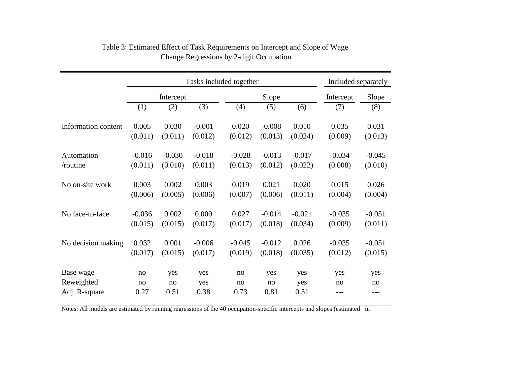|                     | Tasks included together |          |          |          |          |          |          | Included separately |  |
|---------------------|-------------------------|----------|----------|----------|----------|----------|----------|---------------------|--|
|                     | Intercept               |          |          |          | Slope    |          |          | Slope               |  |
|                     | (1)                     | (2)      | (3)      | (4)      | (5)      | (6)      | (7)      | (8)                 |  |
| Information content | 0.005                   | 0.030    | $-0.001$ | 0.020    | $-0.008$ | 0.010    | 0.035    | 0.031               |  |
|                     | (0.011)                 | (0.011)  | (0.012)  | (0.012)  | (0.013)  | (0.024)  | (0.009)  | (0.013)             |  |
| Automation          | $-0.016$                | $-0.030$ | $-0.018$ | $-0.028$ | $-0.013$ | $-0.017$ | $-0.034$ | $-0.045$            |  |
| /routine            | (0.011)                 | (0.010)  | (0.011)  | (0.013)  | (0.012)  | (0.022)  | (0.008)  | (0.010)             |  |
| No on-site work     | 0.003                   | 0.002    | 0.003    | 0.019    | 0.021    | 0.020    | 0.015    | 0.026               |  |
|                     | (0.006)                 | (0.005)  | (0.006)  | (0.007)  | (0.006)  | (0.011)  | (0.004)  | (0.004)             |  |
| No face-to-face     | $-0.036$                | 0.002    | 0.000    | 0.027    | $-0.014$ | $-0.021$ | $-0.035$ | $-0.051$            |  |
|                     | (0.015)                 | (0.015)  | (0.017)  | (0.017)  | (0.018)  | (0.034)  | (0.009)  | (0.011)             |  |
| No decision making  | 0.032                   | 0.001    | $-0.006$ | $-0.045$ | $-0.012$ | 0.026    | $-0.035$ | $-0.051$            |  |
|                     | (0.017)                 | (0.015)  | (0.017)  | (0.019)  | (0.018)  | (0.035)  | (0.012)  | (0.015)             |  |
| Base wage           | no                      | yes      | yes      | no       | yes      | yes      | yes      | yes                 |  |
| Reweighted          | no                      | no       | yes      | no       | no       | yes      | no       | no                  |  |
| Adj. R-square       | 0.27                    | 0.51     | 0.38     | 0.73     | 0.81     | 0.51     | ---      | ---                 |  |

### Table 3: Estimated Effect of Task Requirements on Intercept and Slope of Wage Change Regressions by 2-digit Occupation

Notes: All models are estimated by running regressions of the 40 occupation-specific intercepts and slopes (estimated in